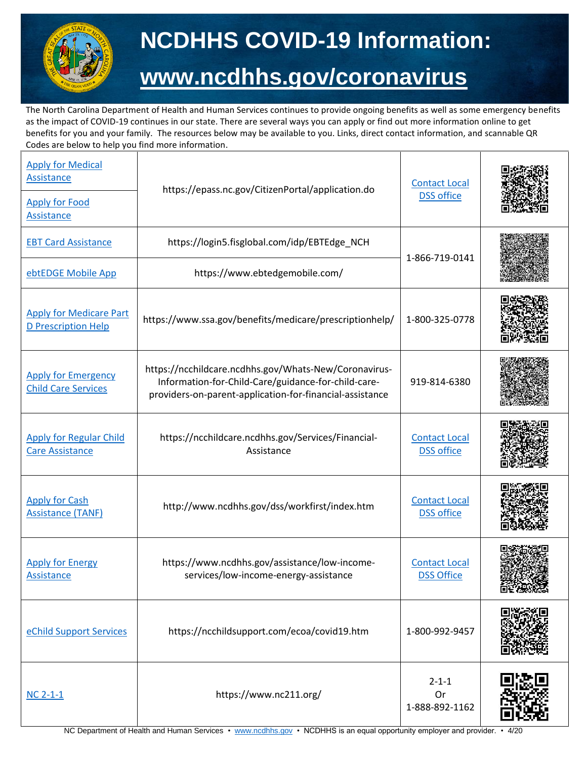

## **NCDHHS COVID-19 Information: [www.ncdhhs.gov/coronavirus](http://www.ncdhhs.gov/coronavirus)**

The North Carolina Department of Health and Human Services continues to provide ongoing benefits as well as some emergency benefits as the impact of COVID-19 continues in our state. There are several ways you can apply or find out more information online to get benefits for you and your family. The resources below may be available to you. Links, direct contact information, and scannable QR Codes are below to help you find more information.

| <b>Apply for Medical</b><br><b>Assistance</b><br><b>Apply for Food</b><br>Assistance | https://epass.nc.gov/CitizenPortal/application.do                                                                                                                        | <b>Contact Local</b><br><b>DSS office</b> |       |
|--------------------------------------------------------------------------------------|--------------------------------------------------------------------------------------------------------------------------------------------------------------------------|-------------------------------------------|-------|
| <b>EBT Card Assistance</b>                                                           | https://login5.fisglobal.com/idp/EBTEdge_NCH                                                                                                                             | 1-866-719-0141                            |       |
| ebtEDGE Mobile App                                                                   | https://www.ebtedgemobile.com/                                                                                                                                           |                                           |       |
| <b>Apply for Medicare Part</b><br><b>D Prescription Help</b>                         | https://www.ssa.gov/benefits/medicare/prescriptionhelp/                                                                                                                  | 1-800-325-0778                            |       |
| <b>Apply for Emergency</b><br><b>Child Care Services</b>                             | https://ncchildcare.ncdhhs.gov/Whats-New/Coronavirus-<br>Information-for-Child-Care/guidance-for-child-care-<br>providers-on-parent-application-for-financial-assistance | 919-814-6380                              |       |
| <b>Apply for Regular Child</b><br><b>Care Assistance</b>                             | https://ncchildcare.ncdhhs.gov/Services/Financial-<br>Assistance                                                                                                         | <b>Contact Local</b><br><b>DSS office</b> |       |
| <b>Apply for Cash</b><br><b>Assistance (TANF)</b>                                    | http://www.ncdhhs.gov/dss/workfirst/index.htm                                                                                                                            | <b>Contact Local</b><br><b>DSS office</b> |       |
| <b>Apply for Energy</b><br><b>Assistance</b>                                         | https://www.ncdhhs.gov/assistance/low-income-<br>services/low-income-energy-assistance                                                                                   | <b>Contact Local</b><br><b>DSS Office</b> | 直管思想恐 |
| eChild Support Services                                                              | https://ncchildsupport.com/ecoa/covid19.htm                                                                                                                              | 1-800-992-9457                            |       |
| $NC 2-1-1$                                                                           | https://www.nc211.org/                                                                                                                                                   | $2 - 1 - 1$<br>Or<br>1-888-892-1162       |       |